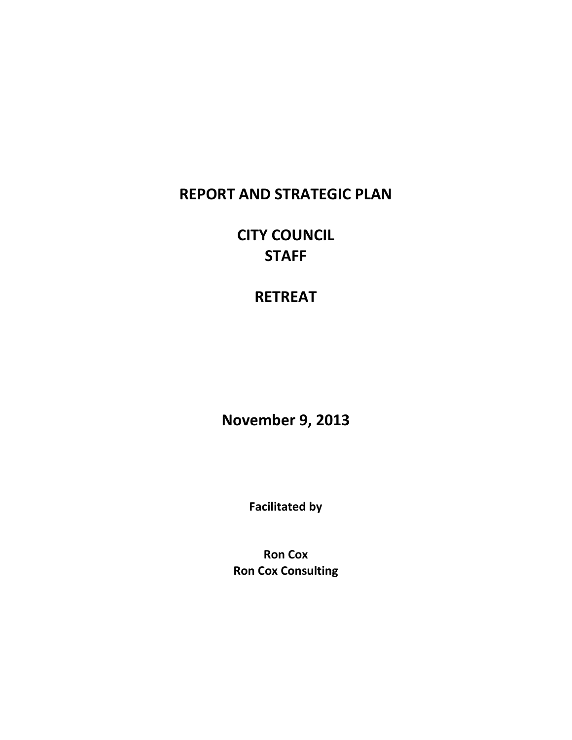### **REPORT AND STRATEGIC PLAN**

**CITY COUNCIL STAFF**

**RETREAT**

**November 9, 2013**

**Facilitated by**

**Ron Cox Ron Cox Consulting**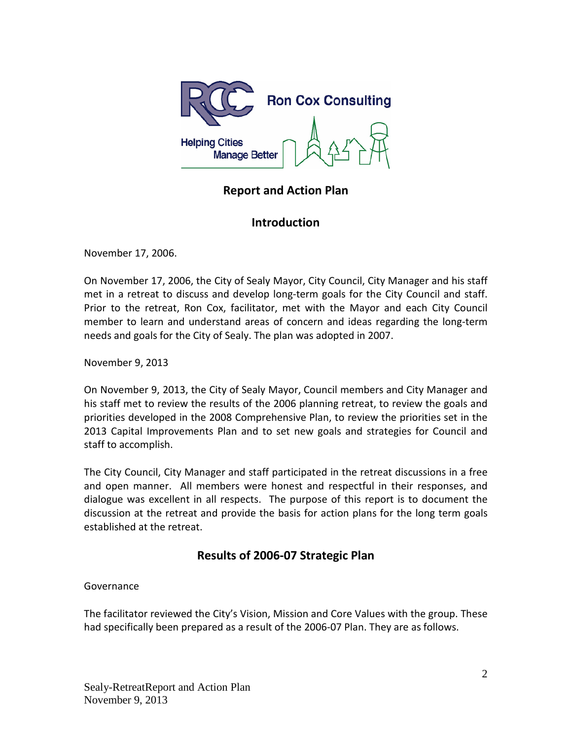

### **Report and Action Plan**

#### **Introduction**

November 17, 2006.

On November 17, 2006, the City of Sealy Mayor, City Council, City Manager and his staff met in a retreat to discuss and develop long-term goals for the City Council and staff. Prior to the retreat, Ron Cox, facilitator, met with the Mayor and each City Council member to learn and understand areas of concern and ideas regarding the long-term needs and goals for the City of Sealy. The plan was adopted in 2007.

November 9, 2013

On November 9, 2013, the City of Sealy Mayor, Council members and City Manager and his staff met to review the results of the 2006 planning retreat, to review the goals and priorities developed in the 2008 Comprehensive Plan, to review the priorities set in the 2013 Capital Improvements Plan and to set new goals and strategies for Council and staff to accomplish.

The City Council, City Manager and staff participated in the retreat discussions in a free and open manner. All members were honest and respectful in their responses, and dialogue was excellent in all respects. The purpose of this report is to document the discussion at the retreat and provide the basis for action plans for the long term goals established at the retreat.

### **Results of 2006-07 Strategic Plan**

#### Governance

The facilitator reviewed the City's Vision, Mission and Core Values with the group. These had specifically been prepared as a result of the 2006-07 Plan. They are as follows.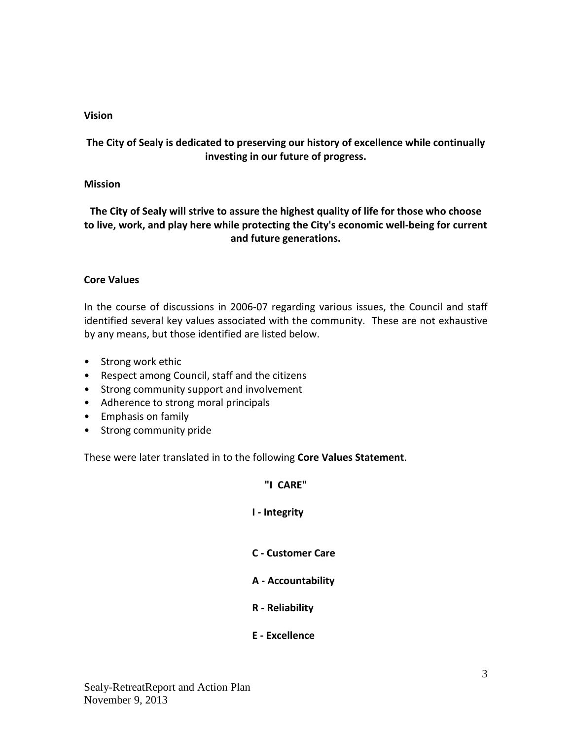#### **Vision**

#### **The City of Sealy is dedicated to preserving our history of excellence while continually investing in our future of progress.**

#### **Mission**

**The City of Sealy will strive to assure the highest quality of life for those who choose to live, work, and play here while protecting the City's economic well-being for current and future generations.**

#### **Core Values**

In the course of discussions in 2006-07 regarding various issues, the Council and staff identified several key values associated with the community. These are not exhaustive by any means, but those identified are listed below.

- Strong work ethic
- Respect among Council, staff and the citizens
- Strong community support and involvement
- Adherence to strong moral principals
- Emphasis on family
- Strong community pride

These were later translated in to the following **Core Values Statement**.

#### **"I CARE"**

#### **I - Integrity**

- **C - Customer Care**
- **A - Accountability**
- **R - Reliability**
- **E - Excellence**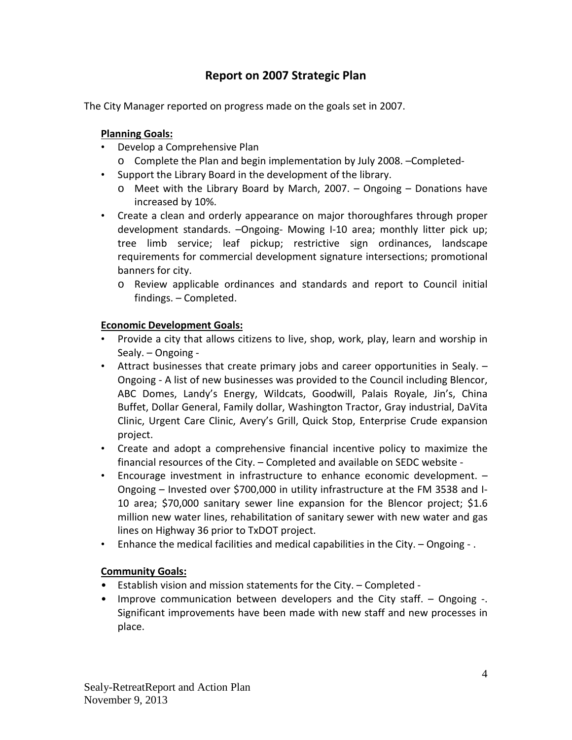### **Report on 2007 Strategic Plan**

The City Manager reported on progress made on the goals set in 2007.

#### **Planning Goals:**

- Develop a Comprehensive Plan
	- o Complete the Plan and begin implementation by July 2008. –Completed-
- Support the Library Board in the development of the library.
	- $\circ$  Meet with the Library Board by March, 2007. Ongoing Donations have increased by 10%.
- Create a clean and orderly appearance on major thoroughfares through proper development standards. –Ongoing- Mowing I-10 area; monthly litter pick up; tree limb service; leaf pickup; restrictive sign ordinances, landscape requirements for commercial development signature intersections; promotional banners for city.
	- o Review applicable ordinances and standards and report to Council initial findings. – Completed.

#### **Economic Development Goals:**

- Provide a city that allows citizens to live, shop, work, play, learn and worship in Sealy. – Ongoing -
- Attract businesses that create primary jobs and career opportunities in Sealy. Ongoing - A list of new businesses was provided to the Council including Blencor, ABC Domes, Landy's Energy, Wildcats, Goodwill, Palais Royale, Jin's, China Buffet, Dollar General, Family dollar, Washington Tractor, Gray industrial, DaVita Clinic, Urgent Care Clinic, Avery's Grill, Quick Stop, Enterprise Crude expansion project.
- Create and adopt a comprehensive financial incentive policy to maximize the financial resources of the City. – Completed and available on SEDC website -
- Encourage investment in infrastructure to enhance economic development. Ongoing – Invested over \$700,000 in utility infrastructure at the FM 3538 and I-10 area; \$70,000 sanitary sewer line expansion for the Blencor project; \$1.6 million new water lines, rehabilitation of sanitary sewer with new water and gas lines on Highway 36 prior to TxDOT project.
- Enhance the medical facilities and medical capabilities in the City. Ongoing .

### **Community Goals:**

- Establish vision and mission statements for the City. Completed -
- Improve communication between developers and the City staff. Ongoing -. Significant improvements have been made with new staff and new processes in place.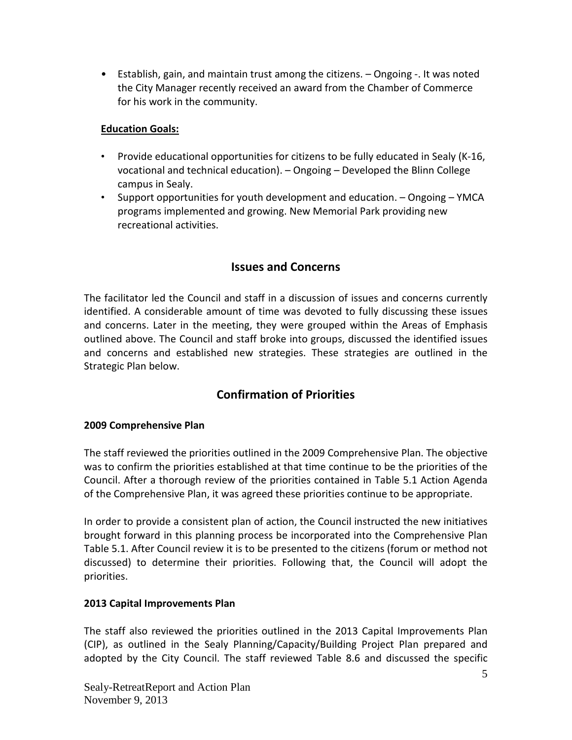• Establish, gain, and maintain trust among the citizens. – Ongoing -. It was noted the City Manager recently received an award from the Chamber of Commerce for his work in the community.

### **Education Goals:**

- Provide educational opportunities for citizens to be fully educated in Sealy (K-16, vocational and technical education). – Ongoing – Developed the Blinn College campus in Sealy.
- Support opportunities for youth development and education. Ongoing YMCA programs implemented and growing. New Memorial Park providing new recreational activities.

### **Issues and Concerns**

The facilitator led the Council and staff in a discussion of issues and concerns currently identified. A considerable amount of time was devoted to fully discussing these issues and concerns. Later in the meeting, they were grouped within the Areas of Emphasis outlined above. The Council and staff broke into groups, discussed the identified issues and concerns and established new strategies. These strategies are outlined in the Strategic Plan below.

### **Confirmation of Priorities**

#### **2009 Comprehensive Plan**

The staff reviewed the priorities outlined in the 2009 Comprehensive Plan. The objective was to confirm the priorities established at that time continue to be the priorities of the Council. After a thorough review of the priorities contained in Table 5.1 Action Agenda of the Comprehensive Plan, it was agreed these priorities continue to be appropriate.

In order to provide a consistent plan of action, the Council instructed the new initiatives brought forward in this planning process be incorporated into the Comprehensive Plan Table 5.1. After Council review it is to be presented to the citizens (forum or method not discussed) to determine their priorities. Following that, the Council will adopt the priorities.

#### **2013 Capital Improvements Plan**

The staff also reviewed the priorities outlined in the 2013 Capital Improvements Plan (CIP), as outlined in the Sealy Planning/Capacity/Building Project Plan prepared and adopted by the City Council. The staff reviewed Table 8.6 and discussed the specific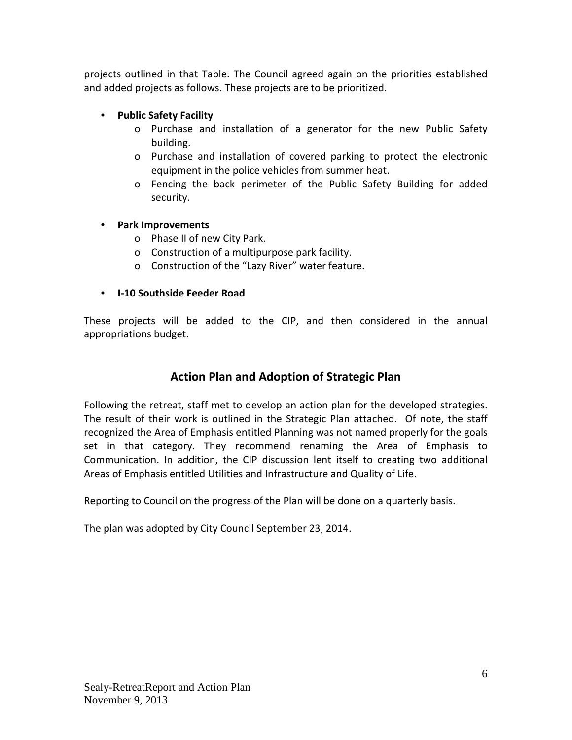projects outlined in that Table. The Council agreed again on the priorities established and added projects as follows. These projects are to be prioritized.

### **• Public Safety Facility**

- o Purchase and installation of a generator for the new Public Safety building.
- o Purchase and installation of covered parking to protect the electronic equipment in the police vehicles from summer heat.
- o Fencing the back perimeter of the Public Safety Building for added security.

### **• Park Improvements**

- o Phase II of new City Park.
- o Construction of a multipurpose park facility.
- o Construction of the "Lazy River" water feature.

### **• I-10 Southside Feeder Road**

These projects will be added to the CIP, and then considered in the annual appropriations budget.

### **Action Plan and Adoption of Strategic Plan**

Following the retreat, staff met to develop an action plan for the developed strategies. The result of their work is outlined in the Strategic Plan attached. Of note, the staff recognized the Area of Emphasis entitled Planning was not named properly for the goals set in that category. They recommend renaming the Area of Emphasis to Communication. In addition, the CIP discussion lent itself to creating two additional Areas of Emphasis entitled Utilities and Infrastructure and Quality of Life.

Reporting to Council on the progress of the Plan will be done on a quarterly basis.

The plan was adopted by City Council September 23, 2014.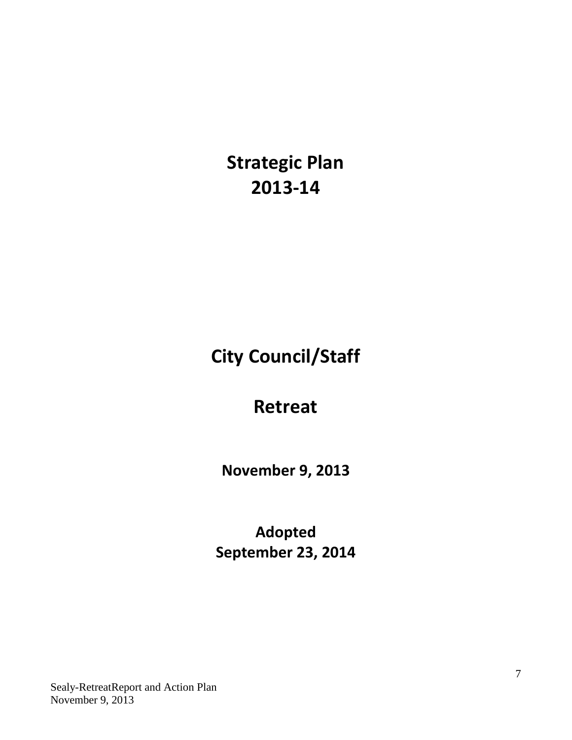**Strategic Plan 2013-14**

**City Council/Staff**

## **Retreat**

**November 9, 2013**

**Adopted September 23, 2014**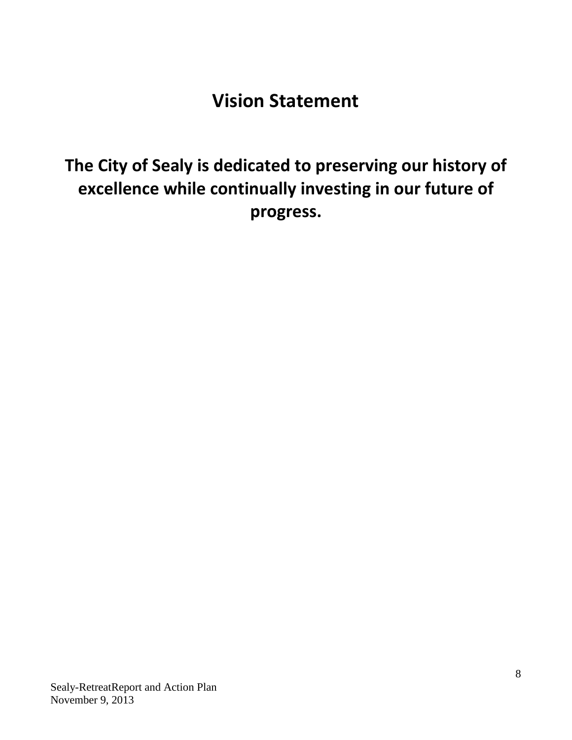# **Vision Statement**

**The City of Sealy is dedicated to preserving our history of excellence while continually investing in our future of progress.**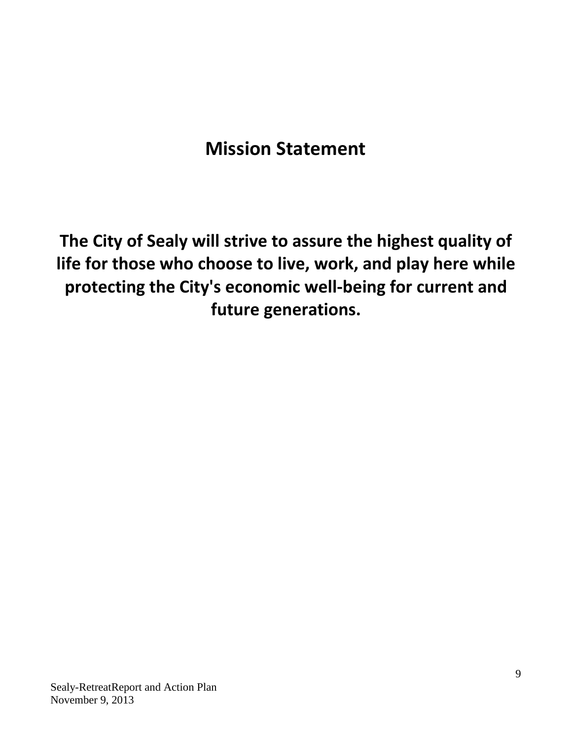# **Mission Statement**

**The City of Sealy will strive to assure the highest quality of life for those who choose to live, work, and play here while protecting the City's economic well-being for current and future generations.**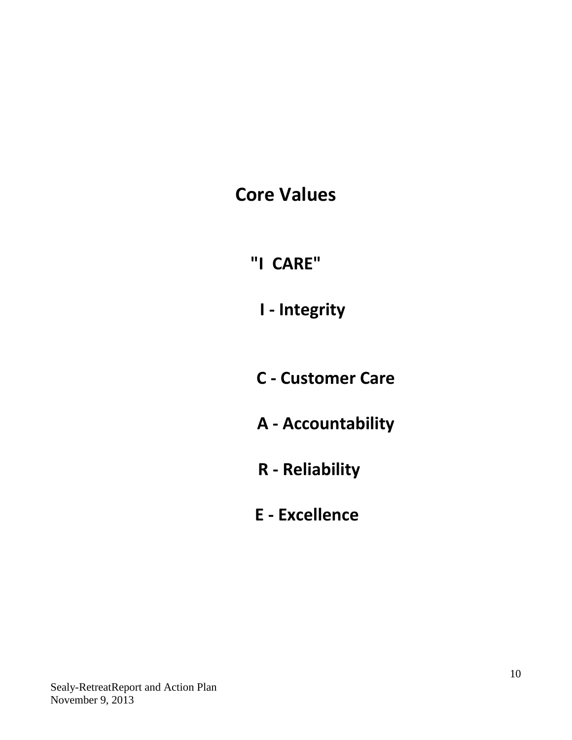**Core Values**

**"I CARE"**

**I - Integrity**

**C - Customer Care**

**A - Accountability**

**R - Reliability**

**E - Excellence**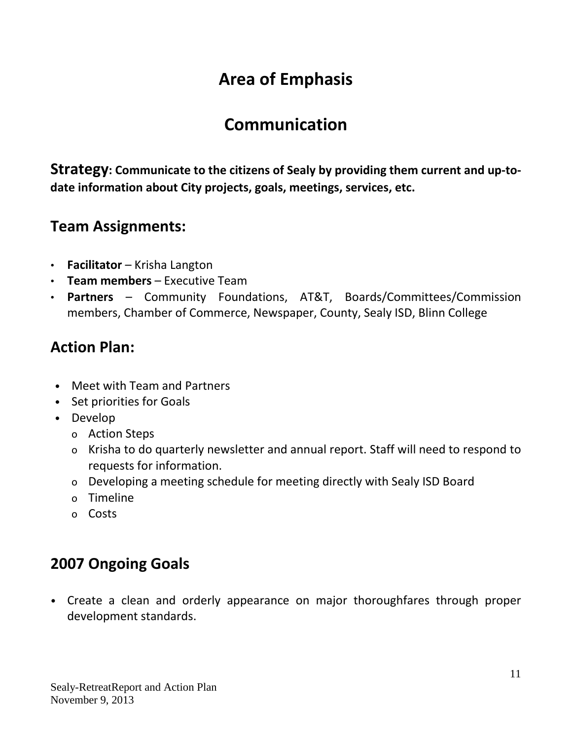## **Communication**

**Strategy: Communicate to the citizens of Sealy by providing them current and up-todate information about City projects, goals, meetings, services, etc.**

### **Team Assignments:**

- **Facilitator** Krisha Langton
- **Team members** Executive Team
- **Partners** Community Foundations, AT&T, Boards/Committees/Commission members, Chamber of Commerce, Newspaper, County, Sealy ISD, Blinn College

### **Action Plan:**

- Meet with Team and Partners
- Set priorities for Goals
- Develop
	- o Action Steps
	- o Krisha to do quarterly newsletter and annual report. Staff will need to respond to requests for information.
	- o Developing a meeting schedule for meeting directly with Sealy ISD Board
	- o Timeline
	- o Costs

## **2007 Ongoing Goals**

• Create a clean and orderly appearance on major thoroughfares through proper development standards.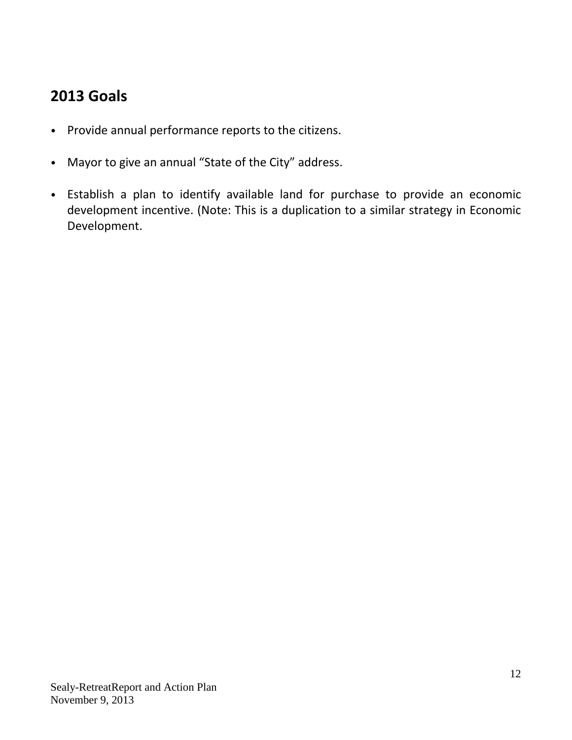## **2013 Goals**

- Provide annual performance reports to the citizens.
- Mayor to give an annual "State of the City" address.
- Establish a plan to identify available land for purchase to provide an economic development incentive. (Note: This is a duplication to a similar strategy in Economic Development.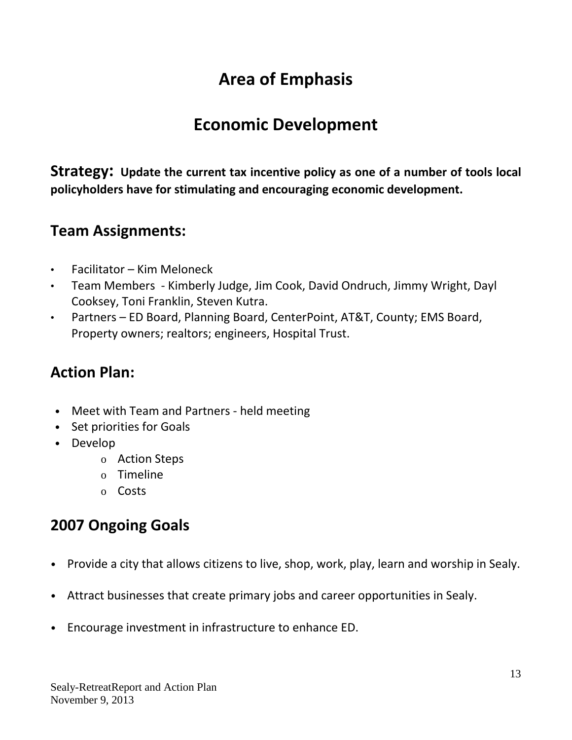## **Economic Development**

**Strategy: Update the current tax incentive policy as one of a number of tools local policyholders have for stimulating and encouraging economic development.**

### **Team Assignments:**

- Facilitator Kim Meloneck
- Team Members Kimberly Judge, Jim Cook, David Ondruch, Jimmy Wright, Dayl Cooksey, Toni Franklin, Steven Kutra.
- Partners ED Board, Planning Board, CenterPoint, AT&T, County; EMS Board, Property owners; realtors; engineers, Hospital Trust.

## **Action Plan:**

- Meet with Team and Partners held meeting
- Set priorities for Goals
- Develop
	- o Action Steps
	- o Timeline
	- o Costs

## **2007 Ongoing Goals**

- Provide a city that allows citizens to live, shop, work, play, learn and worship in Sealy.
- Attract businesses that create primary jobs and career opportunities in Sealy.
- Encourage investment in infrastructure to enhance ED.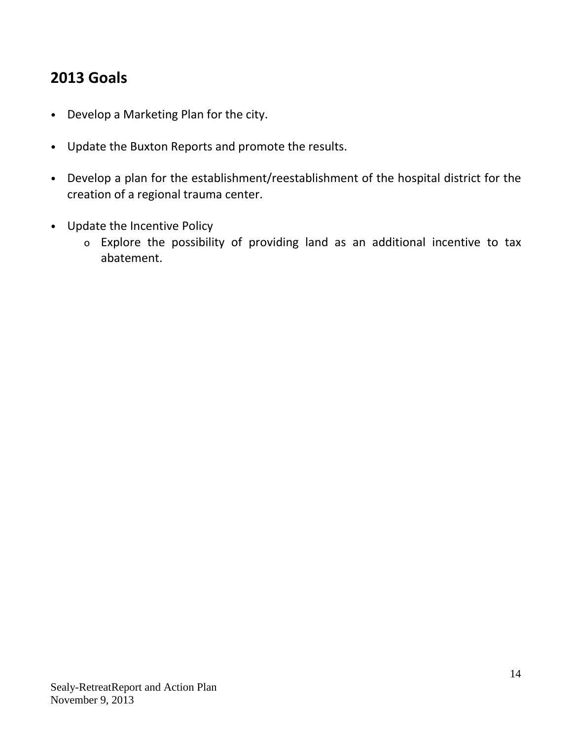## **2013 Goals**

- Develop a Marketing Plan for the city.
- Update the Buxton Reports and promote the results.
- Develop a plan for the establishment/reestablishment of the hospital district for the creation of a regional trauma center.
- Update the Incentive Policy
	- o Explore the possibility of providing land as an additional incentive to tax abatement.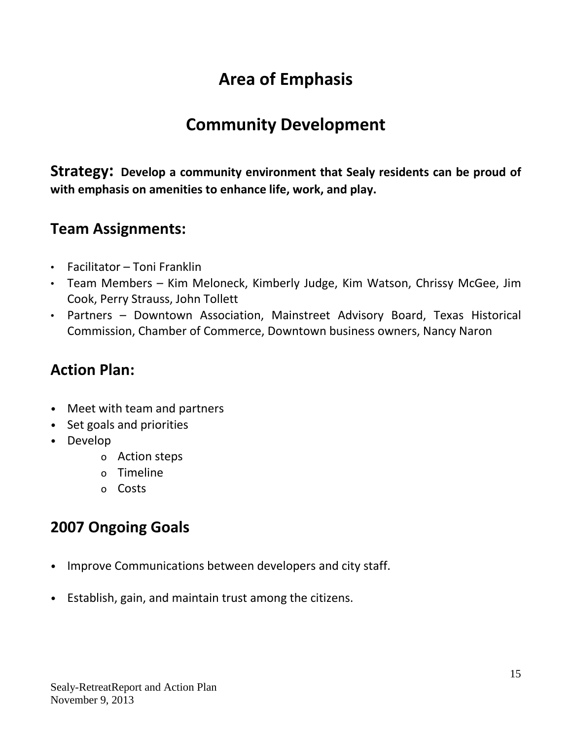## **Community Development**

**Strategy: Develop a community environment that Sealy residents can be proud of with emphasis on amenities to enhance life, work, and play.**

### **Team Assignments:**

- Facilitator Toni Franklin
- Team Members Kim Meloneck, Kimberly Judge, Kim Watson, Chrissy McGee, Jim Cook, Perry Strauss, John Tollett
- Partners Downtown Association, Mainstreet Advisory Board, Texas Historical Commission, Chamber of Commerce, Downtown business owners, Nancy Naron

## **Action Plan:**

- Meet with team and partners
- Set goals and priorities
- Develop
	- o Action steps
	- o Timeline
	- o Costs

## **2007 Ongoing Goals**

- Improve Communications between developers and city staff.
- Establish, gain, and maintain trust among the citizens.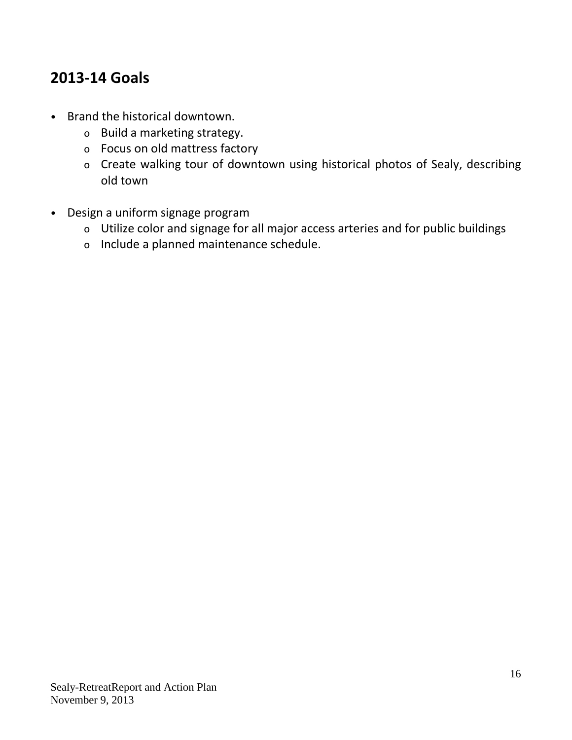## **2013-14 Goals**

- Brand the historical downtown.
	- o Build a marketing strategy.
	- o Focus on old mattress factory
	- o Create walking tour of downtown using historical photos of Sealy, describing old town
- Design a uniform signage program
	- o Utilize color and signage for all major access arteries and for public buildings
	- o Include a planned maintenance schedule.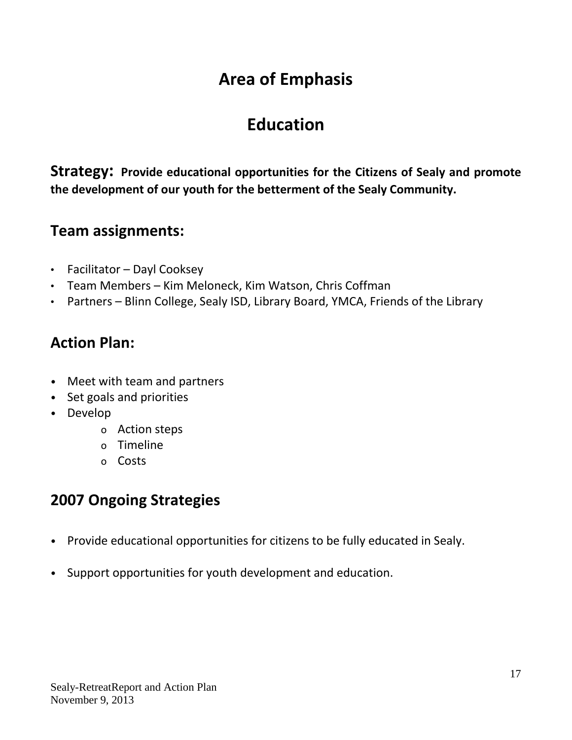## **Education**

**Strategy: Provide educational opportunities for the Citizens of Sealy and promote the development of our youth for the betterment of the Sealy Community.**

### **Team assignments:**

- Facilitator Dayl Cooksey
- Team Members Kim Meloneck, Kim Watson, Chris Coffman
- Partners Blinn College, Sealy ISD, Library Board, YMCA, Friends of the Library

### **Action Plan:**

- Meet with team and partners
- Set goals and priorities
- Develop
	- o Action steps
	- o Timeline
	- o Costs

## **2007 Ongoing Strategies**

- Provide educational opportunities for citizens to be fully educated in Sealy.
- Support opportunities for youth development and education.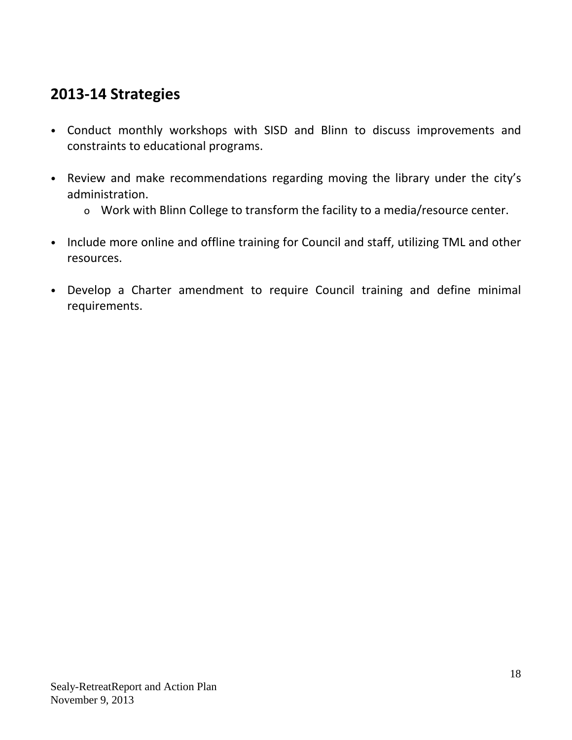## **2013-14 Strategies**

- Conduct monthly workshops with SISD and Blinn to discuss improvements and constraints to educational programs.
- Review and make recommendations regarding moving the library under the city's administration.
	- o Work with Blinn College to transform the facility to a media/resource center.
- Include more online and offline training for Council and staff, utilizing TML and other resources.
- Develop a Charter amendment to require Council training and define minimal requirements.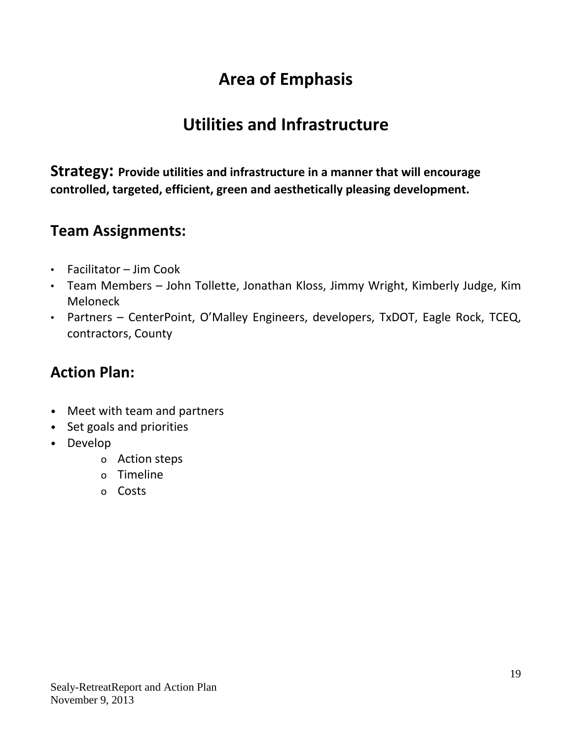## **Utilities and Infrastructure**

**Strategy: Provide utilities and infrastructure in a manner that will encourage controlled, targeted, efficient, green and aesthetically pleasing development.**

### **Team Assignments:**

- Facilitator Jim Cook
- Team Members John Tollette, Jonathan Kloss, Jimmy Wright, Kimberly Judge, Kim Meloneck
- Partners CenterPoint, O'Malley Engineers, developers, TxDOT, Eagle Rock, TCEQ, contractors, County

## **Action Plan:**

- Meet with team and partners
- Set goals and priorities
- Develop
	- o Action steps
	- o Timeline
	- o Costs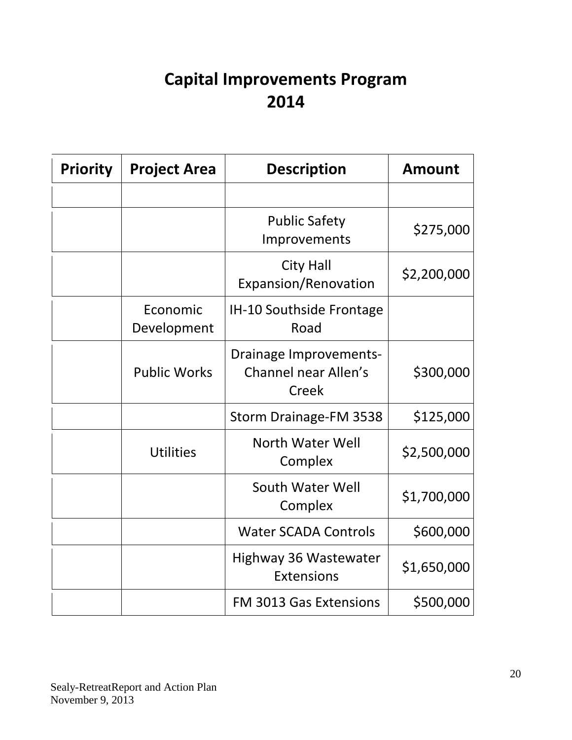# **Capital Improvements Program 2014**

| <b>Priority</b> | <b>Project Area</b>     | <b>Description</b>                                                    | <b>Amount</b> |
|-----------------|-------------------------|-----------------------------------------------------------------------|---------------|
|                 |                         |                                                                       |               |
|                 |                         | <b>Public Safety</b><br>Improvements                                  | \$275,000     |
|                 |                         | <b>City Hall</b><br>Expansion/Renovation                              | \$2,200,000   |
|                 | Economic<br>Development | IH-10 Southside Frontage<br>Road                                      |               |
|                 | <b>Public Works</b>     | <b>Drainage Improvements-</b><br><b>Channel near Allen's</b><br>Creek | \$300,000     |
|                 |                         | Storm Drainage-FM 3538                                                | \$125,000     |
|                 | <b>Utilities</b>        | North Water Well<br>Complex                                           | \$2,500,000   |
|                 |                         | South Water Well<br>Complex                                           | \$1,700,000   |
|                 |                         | <b>Water SCADA Controls</b>                                           | \$600,000     |
|                 |                         | <b>Highway 36 Wastewater</b><br>Extensions                            | \$1,650,000   |
|                 |                         | <b>FM 3013 Gas Extensions</b>                                         | \$500,000     |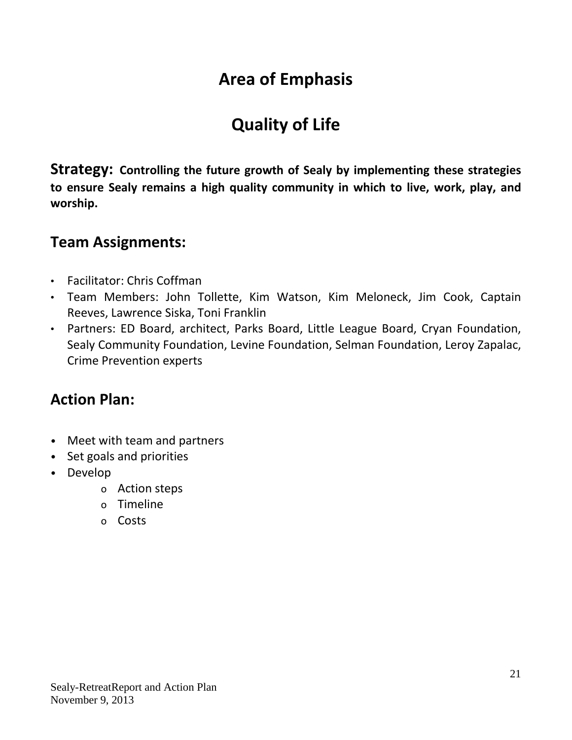# **Quality of Life**

**Strategy: Controlling the future growth of Sealy by implementing these strategies to ensure Sealy remains a high quality community in which to live, work, play, and worship.**

### **Team Assignments:**

- Facilitator: Chris Coffman
- Team Members: John Tollette, Kim Watson, Kim Meloneck, Jim Cook, Captain Reeves, Lawrence Siska, Toni Franklin
- Partners: ED Board, architect, Parks Board, Little League Board, Cryan Foundation, Sealy Community Foundation, Levine Foundation, Selman Foundation, Leroy Zapalac, Crime Prevention experts

## **Action Plan:**

- Meet with team and partners
- Set goals and priorities
- Develop
	- o Action steps
	- o Timeline
	- o Costs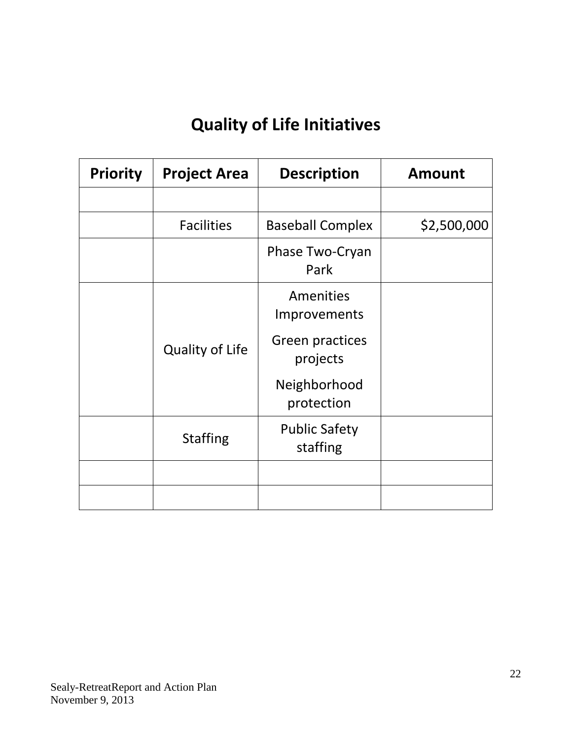# **Quality of Life Initiatives**

| <b>Priority</b> | <b>Project Area</b>    | <b>Description</b>               | <b>Amount</b> |
|-----------------|------------------------|----------------------------------|---------------|
|                 |                        |                                  |               |
|                 | <b>Facilities</b>      | <b>Baseball Complex</b>          | \$2,500,000   |
|                 |                        | Phase Two-Cryan<br>Park          |               |
|                 |                        | Amenities<br>Improvements        |               |
|                 | <b>Quality of Life</b> | Green practices<br>projects      |               |
|                 |                        | Neighborhood<br>protection       |               |
|                 | <b>Staffing</b>        | <b>Public Safety</b><br>staffing |               |
|                 |                        |                                  |               |
|                 |                        |                                  |               |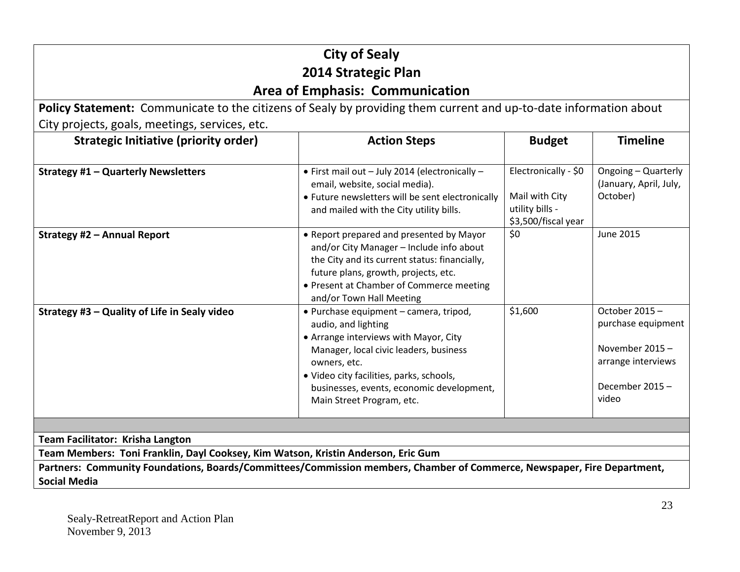|                                                                                                                                                | <b>City of Sealy</b>                                                                                                                                                                                                                                                                   |                                                                                  |                                                                                                        |  |
|------------------------------------------------------------------------------------------------------------------------------------------------|----------------------------------------------------------------------------------------------------------------------------------------------------------------------------------------------------------------------------------------------------------------------------------------|----------------------------------------------------------------------------------|--------------------------------------------------------------------------------------------------------|--|
|                                                                                                                                                | 2014 Strategic Plan                                                                                                                                                                                                                                                                    |                                                                                  |                                                                                                        |  |
|                                                                                                                                                | <b>Area of Emphasis: Communication</b>                                                                                                                                                                                                                                                 |                                                                                  |                                                                                                        |  |
| Policy Statement: Communicate to the citizens of Sealy by providing them current and up-to-date information about                              |                                                                                                                                                                                                                                                                                        |                                                                                  |                                                                                                        |  |
| City projects, goals, meetings, services, etc.                                                                                                 |                                                                                                                                                                                                                                                                                        |                                                                                  |                                                                                                        |  |
| <b>Strategic Initiative (priority order)</b>                                                                                                   | <b>Action Steps</b>                                                                                                                                                                                                                                                                    | <b>Budget</b>                                                                    | <b>Timeline</b>                                                                                        |  |
| <b>Strategy #1 - Quarterly Newsletters</b>                                                                                                     | · First mail out - July 2014 (electronically -<br>email, website, social media).<br>• Future newsletters will be sent electronically<br>and mailed with the City utility bills.                                                                                                        | Electronically - \$0<br>Mail with City<br>utility bills -<br>\$3,500/fiscal year | Ongoing - Quarterly<br>(January, April, July,<br>October)                                              |  |
| Strategy #2 - Annual Report                                                                                                                    | • Report prepared and presented by Mayor<br>and/or City Manager - Include info about<br>the City and its current status: financially,<br>future plans, growth, projects, etc.<br>• Present at Chamber of Commerce meeting<br>and/or Town Hall Meeting                                  | \$0                                                                              | <b>June 2015</b>                                                                                       |  |
| Strategy #3 - Quality of Life in Sealy video                                                                                                   | · Purchase equipment - camera, tripod,<br>audio, and lighting<br>• Arrange interviews with Mayor, City<br>Manager, local civic leaders, business<br>owners, etc.<br>· Video city facilities, parks, schools,<br>businesses, events, economic development,<br>Main Street Program, etc. | \$1,600                                                                          | October 2015-<br>purchase equipment<br>November 2015-<br>arrange interviews<br>December 2015-<br>video |  |
|                                                                                                                                                |                                                                                                                                                                                                                                                                                        |                                                                                  |                                                                                                        |  |
| Team Facilitator: Krisha Langton                                                                                                               |                                                                                                                                                                                                                                                                                        |                                                                                  |                                                                                                        |  |
| Team Members: Toni Franklin, Dayl Cooksey, Kim Watson, Kristin Anderson, Eric Gum                                                              |                                                                                                                                                                                                                                                                                        |                                                                                  |                                                                                                        |  |
| Partners: Community Foundations, Boards/Committees/Commission members, Chamber of Commerce, Newspaper, Fire Department,<br><b>Social Media</b> |                                                                                                                                                                                                                                                                                        |                                                                                  |                                                                                                        |  |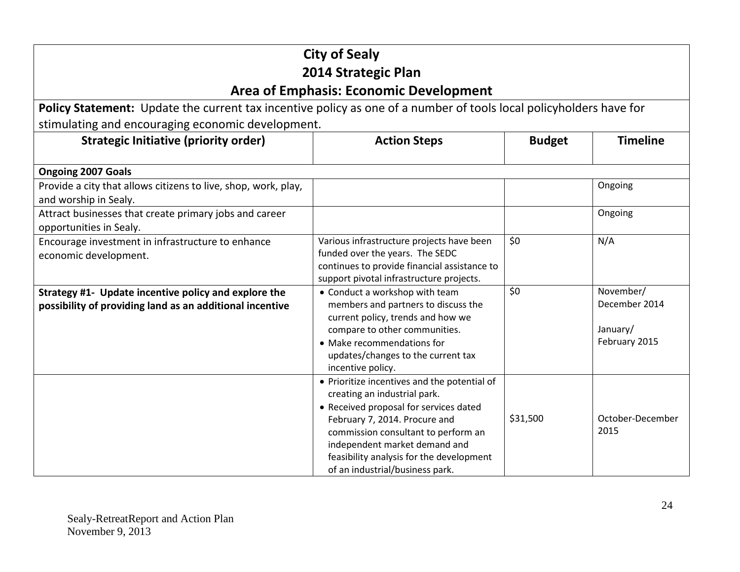| <b>City of Sealy</b><br>2014 Strategic Plan                                                                        |                                                                                                                                                                                                                                                                                                                |               |                                                         |
|--------------------------------------------------------------------------------------------------------------------|----------------------------------------------------------------------------------------------------------------------------------------------------------------------------------------------------------------------------------------------------------------------------------------------------------------|---------------|---------------------------------------------------------|
|                                                                                                                    | <b>Area of Emphasis: Economic Development</b>                                                                                                                                                                                                                                                                  |               |                                                         |
| Policy Statement: Update the current tax incentive policy as one of a number of tools local policyholders have for |                                                                                                                                                                                                                                                                                                                |               |                                                         |
| stimulating and encouraging economic development.                                                                  |                                                                                                                                                                                                                                                                                                                |               |                                                         |
| <b>Strategic Initiative (priority order)</b>                                                                       | <b>Action Steps</b>                                                                                                                                                                                                                                                                                            | <b>Budget</b> | <b>Timeline</b>                                         |
| <b>Ongoing 2007 Goals</b>                                                                                          |                                                                                                                                                                                                                                                                                                                |               |                                                         |
| Provide a city that allows citizens to live, shop, work, play,<br>and worship in Sealy.                            |                                                                                                                                                                                                                                                                                                                |               | Ongoing                                                 |
| Attract businesses that create primary jobs and career<br>opportunities in Sealy.                                  |                                                                                                                                                                                                                                                                                                                |               | Ongoing                                                 |
| Encourage investment in infrastructure to enhance<br>economic development.                                         | Various infrastructure projects have been<br>funded over the years. The SEDC<br>continues to provide financial assistance to<br>support pivotal infrastructure projects.                                                                                                                                       | \$0           | N/A                                                     |
| Strategy #1- Update incentive policy and explore the<br>possibility of providing land as an additional incentive   | • Conduct a workshop with team<br>members and partners to discuss the<br>current policy, trends and how we<br>compare to other communities.<br>• Make recommendations for<br>updates/changes to the current tax<br>incentive policy.                                                                           | \$0           | November/<br>December 2014<br>January/<br>February 2015 |
|                                                                                                                    | • Prioritize incentives and the potential of<br>creating an industrial park.<br>• Received proposal for services dated<br>February 7, 2014. Procure and<br>commission consultant to perform an<br>independent market demand and<br>feasibility analysis for the development<br>of an industrial/business park. | \$31,500      | October-December<br>2015                                |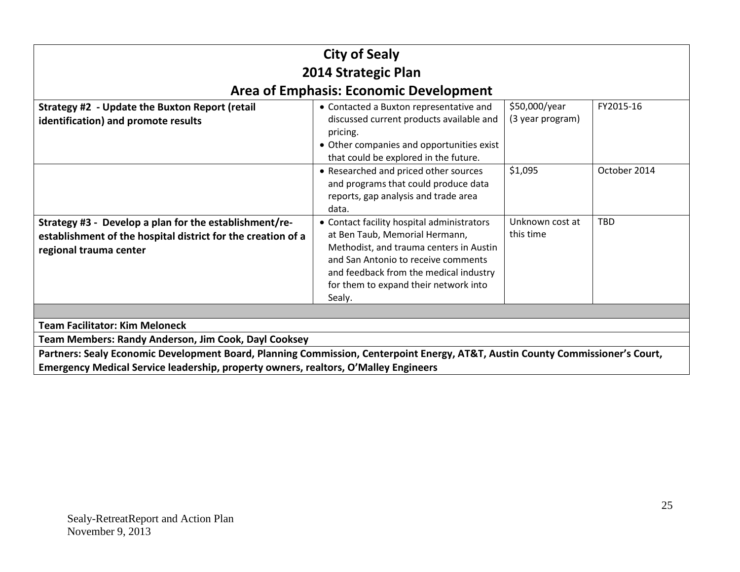| <b>City of Sealy</b>                                                                                                                             |                                                                                                                                                                                                                                                             |                                   |              |  |
|--------------------------------------------------------------------------------------------------------------------------------------------------|-------------------------------------------------------------------------------------------------------------------------------------------------------------------------------------------------------------------------------------------------------------|-----------------------------------|--------------|--|
|                                                                                                                                                  | 2014 Strategic Plan                                                                                                                                                                                                                                         |                                   |              |  |
|                                                                                                                                                  | <b>Area of Emphasis: Economic Development</b>                                                                                                                                                                                                               |                                   |              |  |
| Strategy #2 - Update the Buxton Report (retail<br>identification) and promote results                                                            | • Contacted a Buxton representative and<br>discussed current products available and<br>pricing.<br>• Other companies and opportunities exist<br>that could be explored in the future.                                                                       | \$50,000/year<br>(3 year program) | FY2015-16    |  |
|                                                                                                                                                  | • Researched and priced other sources<br>and programs that could produce data<br>reports, gap analysis and trade area<br>data.                                                                                                                              | \$1,095                           | October 2014 |  |
| Strategy #3 - Develop a plan for the establishment/re-<br>establishment of the hospital district for the creation of a<br>regional trauma center | • Contact facility hospital administrators<br>at Ben Taub, Memorial Hermann,<br>Methodist, and trauma centers in Austin<br>and San Antonio to receive comments<br>and feedback from the medical industry<br>for them to expand their network into<br>Sealy. | Unknown cost at<br>this time      | <b>TBD</b>   |  |
|                                                                                                                                                  |                                                                                                                                                                                                                                                             |                                   |              |  |
| <b>Team Facilitator: Kim Meloneck</b>                                                                                                            |                                                                                                                                                                                                                                                             |                                   |              |  |
| <b>Team Members: Randy Anderson, Jim Cook, Dayl Cooksey</b>                                                                                      |                                                                                                                                                                                                                                                             |                                   |              |  |
| Partners: Sealy Economic Development Board, Planning Commission, Centerpoint Energy, AT&T, Austin County Commissioner's Court,                   |                                                                                                                                                                                                                                                             |                                   |              |  |
| Emergency Medical Service leadership, property owners, realtors, O'Malley Engineers                                                              |                                                                                                                                                                                                                                                             |                                   |              |  |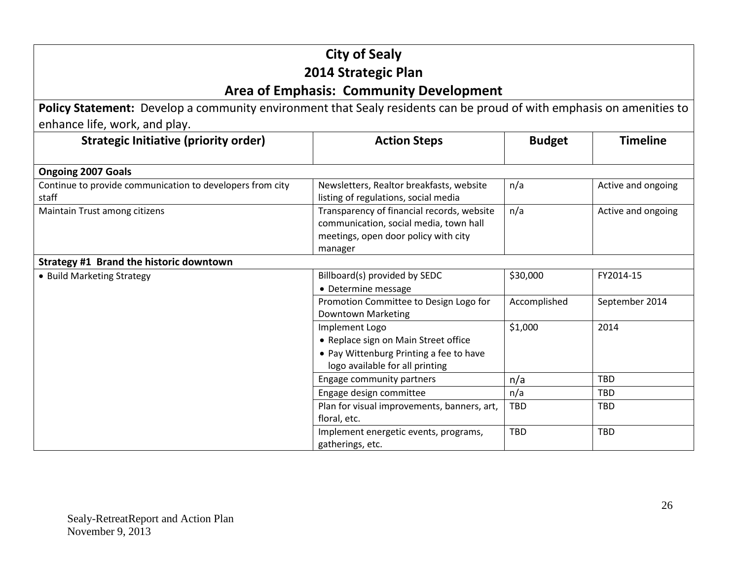|                                                                                                                      | <b>City of Sealy</b>                                                                                                                    |               |                    |  |
|----------------------------------------------------------------------------------------------------------------------|-----------------------------------------------------------------------------------------------------------------------------------------|---------------|--------------------|--|
| 2014 Strategic Plan                                                                                                  |                                                                                                                                         |               |                    |  |
| <b>Area of Emphasis: Community Development</b>                                                                       |                                                                                                                                         |               |                    |  |
| Policy Statement: Develop a community environment that Sealy residents can be proud of with emphasis on amenities to |                                                                                                                                         |               |                    |  |
| enhance life, work, and play.                                                                                        |                                                                                                                                         |               |                    |  |
| <b>Strategic Initiative (priority order)</b>                                                                         | <b>Action Steps</b>                                                                                                                     | <b>Budget</b> | <b>Timeline</b>    |  |
| <b>Ongoing 2007 Goals</b>                                                                                            |                                                                                                                                         |               |                    |  |
| Continue to provide communication to developers from city<br>staff                                                   | Newsletters, Realtor breakfasts, website<br>listing of regulations, social media                                                        | n/a           | Active and ongoing |  |
| Maintain Trust among citizens                                                                                        | Transparency of financial records, website<br>communication, social media, town hall<br>meetings, open door policy with city<br>manager | n/a           | Active and ongoing |  |
| Strategy #1 Brand the historic downtown                                                                              |                                                                                                                                         |               |                    |  |
| • Build Marketing Strategy                                                                                           | Billboard(s) provided by SEDC<br>• Determine message                                                                                    | \$30,000      | FY2014-15          |  |
|                                                                                                                      | Promotion Committee to Design Logo for<br><b>Downtown Marketing</b>                                                                     | Accomplished  | September 2014     |  |
|                                                                                                                      | Implement Logo<br>• Replace sign on Main Street office<br>• Pay Wittenburg Printing a fee to have<br>logo available for all printing    | \$1,000       | 2014               |  |
|                                                                                                                      | Engage community partners                                                                                                               | n/a           | <b>TBD</b>         |  |
|                                                                                                                      | Engage design committee                                                                                                                 | n/a           | TBD                |  |
|                                                                                                                      | Plan for visual improvements, banners, art,<br>floral, etc.                                                                             | <b>TBD</b>    | <b>TBD</b>         |  |
|                                                                                                                      | Implement energetic events, programs,<br>gatherings, etc.                                                                               | TBD           | <b>TBD</b>         |  |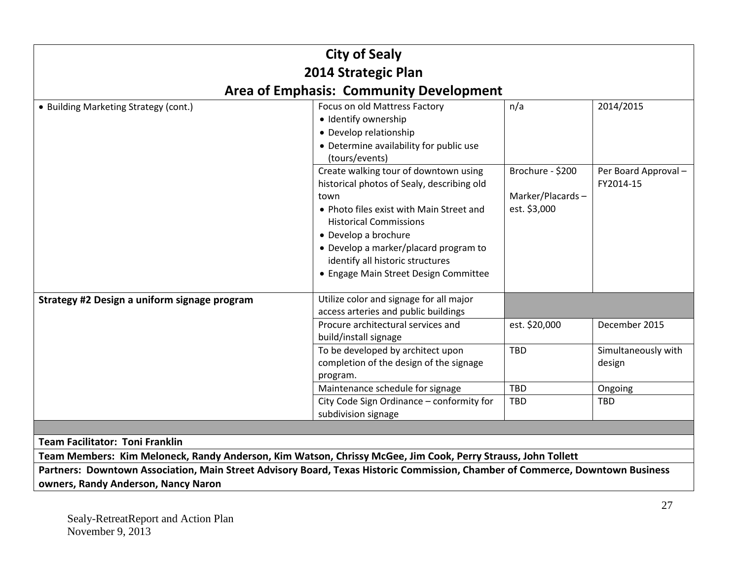| <b>City of Sealy</b>                                                                                                          |                                                                                                                                                                                                                                                                                                                        |                                                      |                                  |  |
|-------------------------------------------------------------------------------------------------------------------------------|------------------------------------------------------------------------------------------------------------------------------------------------------------------------------------------------------------------------------------------------------------------------------------------------------------------------|------------------------------------------------------|----------------------------------|--|
|                                                                                                                               | 2014 Strategic Plan                                                                                                                                                                                                                                                                                                    |                                                      |                                  |  |
|                                                                                                                               | <b>Area of Emphasis: Community Development</b>                                                                                                                                                                                                                                                                         |                                                      |                                  |  |
| • Building Marketing Strategy (cont.)                                                                                         | Focus on old Mattress Factory<br>· Identify ownership<br>• Develop relationship<br>• Determine availability for public use<br>(tours/events)                                                                                                                                                                           | n/a                                                  | 2014/2015                        |  |
|                                                                                                                               | Create walking tour of downtown using<br>historical photos of Sealy, describing old<br>town<br>• Photo files exist with Main Street and<br><b>Historical Commissions</b><br>• Develop a brochure<br>• Develop a marker/placard program to<br>identify all historic structures<br>• Engage Main Street Design Committee | Brochure - \$200<br>Marker/Placards-<br>est. \$3,000 | Per Board Approval-<br>FY2014-15 |  |
| Strategy #2 Design a uniform signage program                                                                                  | Utilize color and signage for all major<br>access arteries and public buildings                                                                                                                                                                                                                                        |                                                      |                                  |  |
|                                                                                                                               | Procure architectural services and<br>build/install signage                                                                                                                                                                                                                                                            | est. \$20,000                                        | December 2015                    |  |
|                                                                                                                               | To be developed by architect upon<br>completion of the design of the signage<br>program.                                                                                                                                                                                                                               | TBD                                                  | Simultaneously with<br>design    |  |
|                                                                                                                               | Maintenance schedule for signage                                                                                                                                                                                                                                                                                       | TBD                                                  | Ongoing                          |  |
|                                                                                                                               | City Code Sign Ordinance - conformity for<br>subdivision signage                                                                                                                                                                                                                                                       | TBD                                                  | <b>TBD</b>                       |  |
|                                                                                                                               |                                                                                                                                                                                                                                                                                                                        |                                                      |                                  |  |
| <b>Team Facilitator: Toni Franklin</b>                                                                                        |                                                                                                                                                                                                                                                                                                                        |                                                      |                                  |  |
| Team Members: Kim Meloneck, Randy Anderson, Kim Watson, Chrissy McGee, Jim Cook, Perry Strauss, John Tollett                  |                                                                                                                                                                                                                                                                                                                        |                                                      |                                  |  |
| Partners: Downtown Association, Main Street Advisory Board, Texas Historic Commission, Chamber of Commerce, Downtown Business |                                                                                                                                                                                                                                                                                                                        |                                                      |                                  |  |
| owners, Randy Anderson, Nancy Naron                                                                                           |                                                                                                                                                                                                                                                                                                                        |                                                      |                                  |  |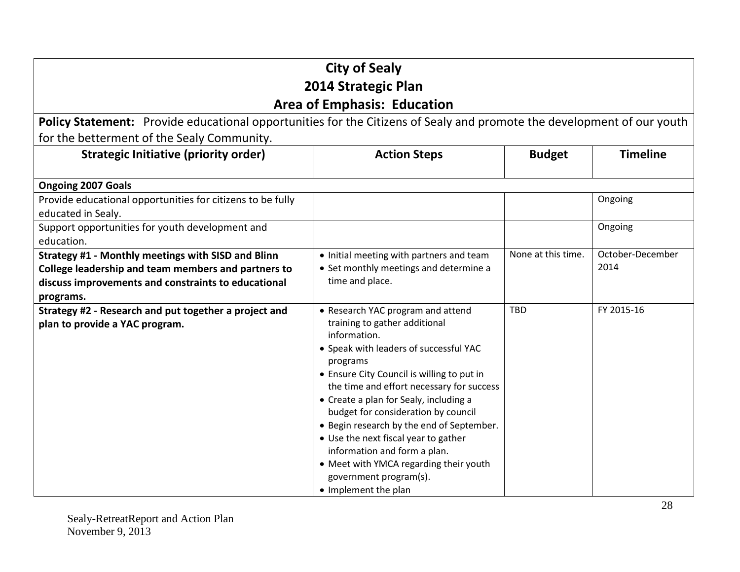| <b>City of Sealy</b>                                                                                                   |                                                        |                    |                  |
|------------------------------------------------------------------------------------------------------------------------|--------------------------------------------------------|--------------------|------------------|
|                                                                                                                        | 2014 Strategic Plan                                    |                    |                  |
|                                                                                                                        | <b>Area of Emphasis: Education</b>                     |                    |                  |
| Policy Statement: Provide educational opportunities for the Citizens of Sealy and promote the development of our youth |                                                        |                    |                  |
| for the betterment of the Sealy Community.                                                                             |                                                        |                    |                  |
| <b>Strategic Initiative (priority order)</b>                                                                           | <b>Action Steps</b>                                    | <b>Budget</b>      | <b>Timeline</b>  |
| <b>Ongoing 2007 Goals</b>                                                                                              |                                                        |                    |                  |
| Provide educational opportunities for citizens to be fully                                                             |                                                        |                    | Ongoing          |
| educated in Sealy.                                                                                                     |                                                        |                    |                  |
| Support opportunities for youth development and                                                                        |                                                        |                    | Ongoing          |
| education.                                                                                                             |                                                        |                    |                  |
| Strategy #1 - Monthly meetings with SISD and Blinn                                                                     | • Initial meeting with partners and team               | None at this time. | October-December |
| College leadership and team members and partners to                                                                    | • Set monthly meetings and determine a                 |                    | 2014             |
| discuss improvements and constraints to educational                                                                    | time and place.                                        |                    |                  |
| programs.                                                                                                              |                                                        |                    |                  |
| Strategy #2 - Research and put together a project and                                                                  | • Research YAC program and attend                      | <b>TBD</b>         | FY 2015-16       |
| plan to provide a YAC program.                                                                                         | training to gather additional                          |                    |                  |
|                                                                                                                        | information.                                           |                    |                  |
|                                                                                                                        | • Speak with leaders of successful YAC                 |                    |                  |
|                                                                                                                        | programs<br>• Ensure City Council is willing to put in |                    |                  |
|                                                                                                                        | the time and effort necessary for success              |                    |                  |
|                                                                                                                        | • Create a plan for Sealy, including a                 |                    |                  |
|                                                                                                                        | budget for consideration by council                    |                    |                  |
|                                                                                                                        | • Begin research by the end of September.              |                    |                  |
|                                                                                                                        | • Use the next fiscal year to gather                   |                    |                  |
|                                                                                                                        | information and form a plan.                           |                    |                  |
|                                                                                                                        | • Meet with YMCA regarding their youth                 |                    |                  |
|                                                                                                                        | government program(s).                                 |                    |                  |
|                                                                                                                        | • Implement the plan                                   |                    |                  |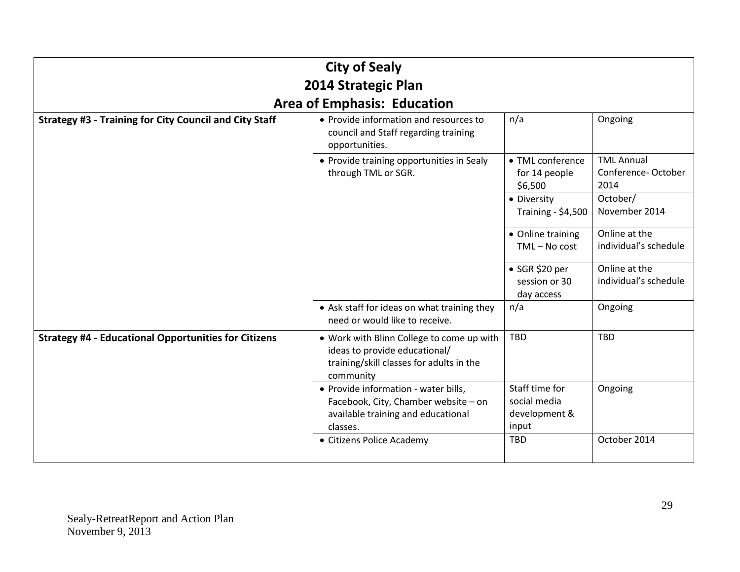|                                                               | <b>City of Sealy</b>                                                                                                                |                                                          |                                                 |
|---------------------------------------------------------------|-------------------------------------------------------------------------------------------------------------------------------------|----------------------------------------------------------|-------------------------------------------------|
| 2014 Strategic Plan                                           |                                                                                                                                     |                                                          |                                                 |
|                                                               | <b>Area of Emphasis: Education</b>                                                                                                  |                                                          |                                                 |
| <b>Strategy #3 - Training for City Council and City Staff</b> | • Provide information and resources to<br>council and Staff regarding training<br>opportunities.                                    | n/a                                                      | Ongoing                                         |
|                                                               | • Provide training opportunities in Sealy<br>through TML or SGR.                                                                    | • TML conference<br>for 14 people<br>\$6,500             | <b>TML Annual</b><br>Conference-October<br>2014 |
|                                                               |                                                                                                                                     | • Diversity<br><b>Training - \$4,500</b>                 | October/<br>November 2014                       |
|                                                               |                                                                                                                                     | • Online training<br>$TML - No cost$                     | Online at the<br>individual's schedule          |
|                                                               |                                                                                                                                     | $\bullet$ SGR \$20 per<br>session or 30<br>day access    | Online at the<br>individual's schedule          |
|                                                               | • Ask staff for ideas on what training they<br>need or would like to receive.                                                       | n/a                                                      | Ongoing                                         |
| <b>Strategy #4 - Educational Opportunities for Citizens</b>   | . Work with Blinn College to come up with<br>ideas to provide educational/<br>training/skill classes for adults in the<br>community | TBD                                                      | <b>TBD</b>                                      |
|                                                               | · Provide information - water bills,<br>Facebook, City, Chamber website - on<br>available training and educational<br>classes.      | Staff time for<br>social media<br>development &<br>input | Ongoing                                         |
|                                                               | • Citizens Police Academy                                                                                                           | <b>TBD</b>                                               | October 2014                                    |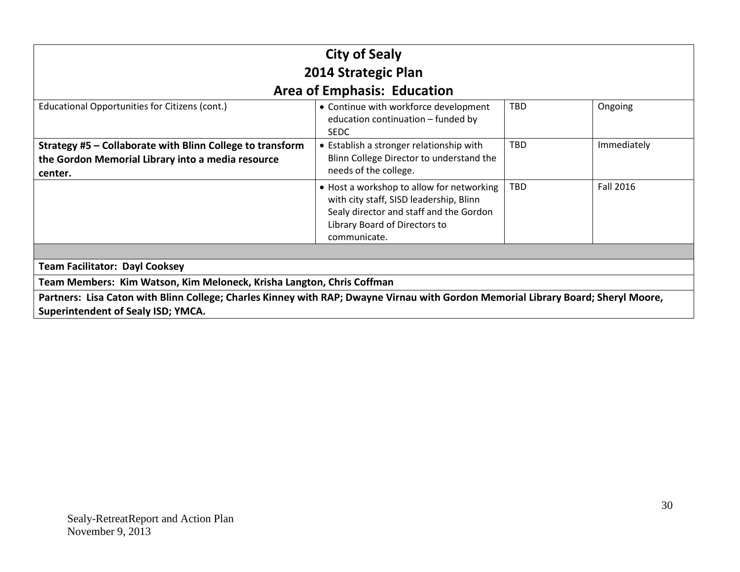| <b>City of Sealy</b><br>2014 Strategic Plan                                                                                                                                    |                                                                                                                                                                                  |            |                  |  |
|--------------------------------------------------------------------------------------------------------------------------------------------------------------------------------|----------------------------------------------------------------------------------------------------------------------------------------------------------------------------------|------------|------------------|--|
|                                                                                                                                                                                | <b>Area of Emphasis: Education</b>                                                                                                                                               |            |                  |  |
| Educational Opportunities for Citizens (cont.)                                                                                                                                 | • Continue with workforce development<br>education continuation - funded by<br><b>SEDC</b>                                                                                       | <b>TBD</b> | Ongoing          |  |
| Strategy #5 - Collaborate with Blinn College to transform<br>the Gordon Memorial Library into a media resource<br>center.                                                      | • Establish a stronger relationship with<br>Blinn College Director to understand the<br>needs of the college.                                                                    | <b>TBD</b> | Immediately      |  |
|                                                                                                                                                                                | • Host a workshop to allow for networking<br>with city staff, SISD leadership, Blinn<br>Sealy director and staff and the Gordon<br>Library Board of Directors to<br>communicate. | <b>TBD</b> | <b>Fall 2016</b> |  |
|                                                                                                                                                                                |                                                                                                                                                                                  |            |                  |  |
| <b>Team Facilitator: Dayl Cooksey</b>                                                                                                                                          |                                                                                                                                                                                  |            |                  |  |
| Team Members: Kim Watson, Kim Meloneck, Krisha Langton, Chris Coffman                                                                                                          |                                                                                                                                                                                  |            |                  |  |
| Partners: Lisa Caton with Blinn College; Charles Kinney with RAP; Dwayne Virnau with Gordon Memorial Library Board; Sheryl Moore,<br><b>Superintendent of Sealy ISD; YMCA.</b> |                                                                                                                                                                                  |            |                  |  |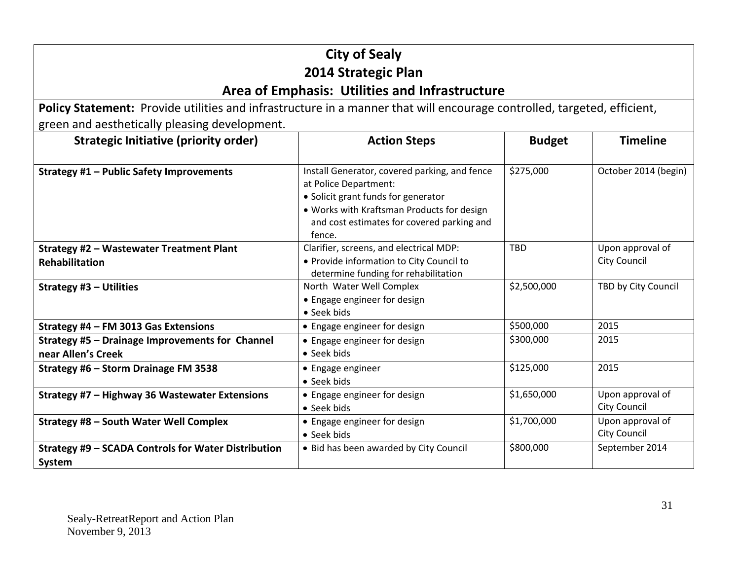## **City of Sealy 2014 Strategic Plan Area of Emphasis: Utilities and Infrastructure**

**Policy Statement:** Provide utilities and infrastructure in a manner that will encourage controlled, targeted, efficient, green and aesthetically pleasing development.

| <b>Strategic Initiative (priority order)</b>        | <b>Action Steps</b>                                  | <b>Budget</b> | <b>Timeline</b>      |
|-----------------------------------------------------|------------------------------------------------------|---------------|----------------------|
|                                                     |                                                      |               |                      |
| Strategy #1 - Public Safety Improvements            | Install Generator, covered parking, and fence        | \$275,000     | October 2014 (begin) |
|                                                     | at Police Department:                                |               |                      |
|                                                     | • Solicit grant funds for generator                  |               |                      |
|                                                     | . Works with Kraftsman Products for design           |               |                      |
|                                                     | and cost estimates for covered parking and<br>fence. |               |                      |
| Strategy #2 - Wastewater Treatment Plant            | Clarifier, screens, and electrical MDP:              | <b>TBD</b>    | Upon approval of     |
| <b>Rehabilitation</b>                               | • Provide information to City Council to             |               | <b>City Council</b>  |
|                                                     | determine funding for rehabilitation                 |               |                      |
| Strategy #3 - Utilities                             | North Water Well Complex                             | \$2,500,000   | TBD by City Council  |
|                                                     | • Engage engineer for design                         |               |                      |
|                                                     | • Seek bids                                          |               |                      |
| Strategy #4 - FM 3013 Gas Extensions                | • Engage engineer for design                         | \$500,000     | 2015                 |
| Strategy #5 - Drainage Improvements for Channel     | • Engage engineer for design                         | \$300,000     | 2015                 |
| near Allen's Creek                                  | • Seek bids                                          |               |                      |
| Strategy #6 - Storm Drainage FM 3538                | • Engage engineer                                    | \$125,000     | 2015                 |
|                                                     | • Seek bids                                          |               |                      |
| Strategy #7 - Highway 36 Wastewater Extensions      | • Engage engineer for design                         | \$1,650,000   | Upon approval of     |
|                                                     | • Seek bids                                          |               | <b>City Council</b>  |
| Strategy #8 - South Water Well Complex              | • Engage engineer for design                         | \$1,700,000   | Upon approval of     |
|                                                     | • Seek bids                                          |               | <b>City Council</b>  |
| Strategy #9 - SCADA Controls for Water Distribution | • Bid has been awarded by City Council               | \$800,000     | September 2014       |
| System                                              |                                                      |               |                      |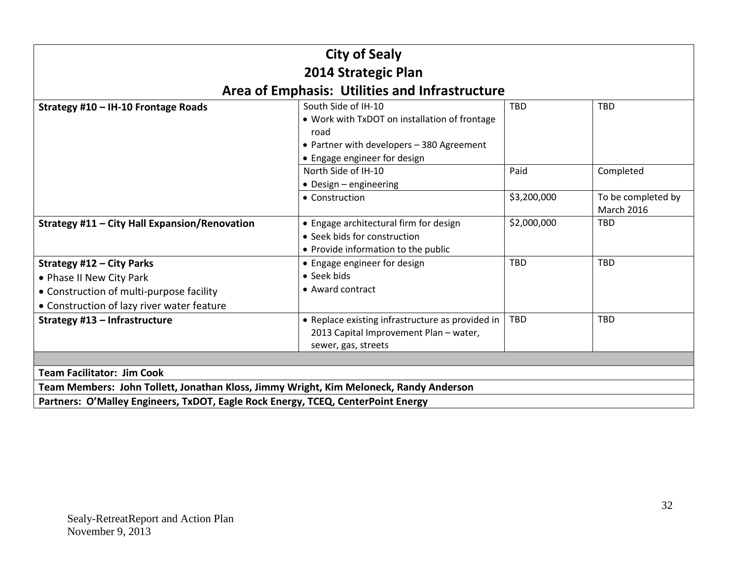| <b>City of Sealy</b>                                                                                                                                   |                                                                                                                                                           |             |                                         |  |
|--------------------------------------------------------------------------------------------------------------------------------------------------------|-----------------------------------------------------------------------------------------------------------------------------------------------------------|-------------|-----------------------------------------|--|
|                                                                                                                                                        | 2014 Strategic Plan                                                                                                                                       |             |                                         |  |
|                                                                                                                                                        | Area of Emphasis: Utilities and Infrastructure                                                                                                            |             |                                         |  |
| Strategy #10 - IH-10 Frontage Roads                                                                                                                    | South Side of IH-10<br>• Work with TxDOT on installation of frontage<br>road<br>• Partner with developers - 380 Agreement<br>• Engage engineer for design | <b>TBD</b>  | <b>TBD</b>                              |  |
|                                                                                                                                                        | North Side of IH-10<br>• Design – engineering                                                                                                             | Paid        | Completed                               |  |
|                                                                                                                                                        | • Construction                                                                                                                                            | \$3,200,000 | To be completed by<br><b>March 2016</b> |  |
| Strategy #11 - City Hall Expansion/Renovation                                                                                                          | • Engage architectural firm for design<br>• Seek bids for construction<br>• Provide information to the public                                             | \$2,000,000 | <b>TBD</b>                              |  |
| <b>Strategy #12 - City Parks</b><br>• Phase II New City Park<br>• Construction of multi-purpose facility<br>• Construction of lazy river water feature | • Engage engineer for design<br>• Seek bids<br>• Award contract                                                                                           | <b>TBD</b>  | <b>TBD</b>                              |  |
| Strategy #13 - Infrastructure                                                                                                                          | • Replace existing infrastructure as provided in<br>2013 Capital Improvement Plan - water,<br>sewer, gas, streets                                         | <b>TBD</b>  | <b>TBD</b>                              |  |
|                                                                                                                                                        |                                                                                                                                                           |             |                                         |  |
| <b>Team Facilitator: Jim Cook</b>                                                                                                                      |                                                                                                                                                           |             |                                         |  |
| Team Members: John Tollett, Jonathan Kloss, Jimmy Wright, Kim Meloneck, Randy Anderson                                                                 |                                                                                                                                                           |             |                                         |  |
| Partners: O'Malley Engineers, TxDOT, Eagle Rock Energy, TCEQ, CenterPoint Energy                                                                       |                                                                                                                                                           |             |                                         |  |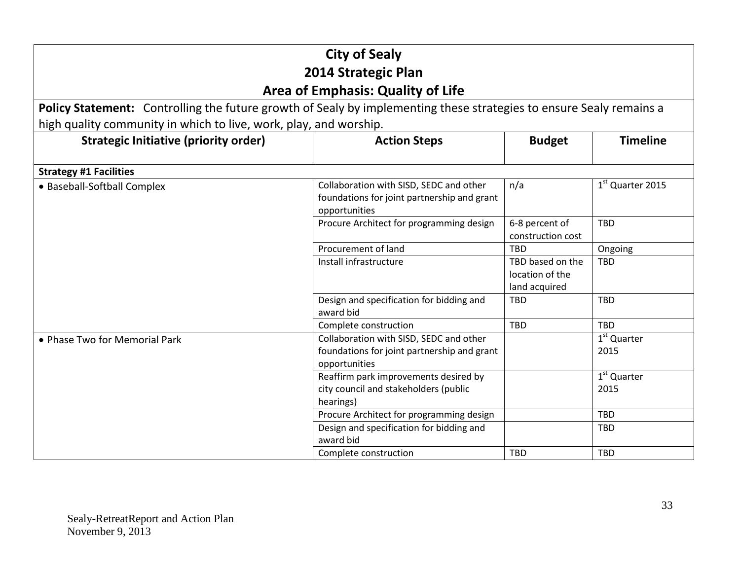| <b>City of Sealy</b><br>2014 Strategic Plan<br><b>Area of Emphasis: Quality of Life</b>                             |                                                                                                         |                                                      |                                 |
|---------------------------------------------------------------------------------------------------------------------|---------------------------------------------------------------------------------------------------------|------------------------------------------------------|---------------------------------|
| Policy Statement: Controlling the future growth of Sealy by implementing these strategies to ensure Sealy remains a |                                                                                                         |                                                      |                                 |
| high quality community in which to live, work, play, and worship.                                                   |                                                                                                         |                                                      |                                 |
| <b>Strategic Initiative (priority order)</b>                                                                        | <b>Action Steps</b>                                                                                     | <b>Budget</b>                                        | <b>Timeline</b>                 |
| <b>Strategy #1 Facilities</b>                                                                                       |                                                                                                         |                                                      |                                 |
| • Baseball-Softball Complex                                                                                         | Collaboration with SISD, SEDC and other<br>foundations for joint partnership and grant<br>opportunities | n/a                                                  | 1 <sup>st</sup> Quarter 2015    |
|                                                                                                                     | Procure Architect for programming design                                                                | 6-8 percent of<br>construction cost                  | <b>TBD</b>                      |
|                                                                                                                     | Procurement of land                                                                                     | TBD                                                  | Ongoing                         |
|                                                                                                                     | Install infrastructure                                                                                  | TBD based on the<br>location of the<br>land acquired | <b>TBD</b>                      |
|                                                                                                                     | Design and specification for bidding and<br>award bid                                                   | <b>TBD</b>                                           | <b>TBD</b>                      |
|                                                                                                                     | Complete construction                                                                                   | TBD                                                  | <b>TBD</b>                      |
| • Phase Two for Memorial Park                                                                                       | Collaboration with SISD, SEDC and other<br>foundations for joint partnership and grant<br>opportunities |                                                      | 1 <sup>st</sup> Quarter<br>2015 |
|                                                                                                                     | Reaffirm park improvements desired by<br>city council and stakeholders (public<br>hearings)             |                                                      | $1st$ Quarter<br>2015           |
|                                                                                                                     | Procure Architect for programming design                                                                |                                                      | <b>TBD</b>                      |
|                                                                                                                     | Design and specification for bidding and<br>award bid                                                   |                                                      | <b>TBD</b>                      |
|                                                                                                                     | Complete construction                                                                                   | <b>TBD</b>                                           | <b>TBD</b>                      |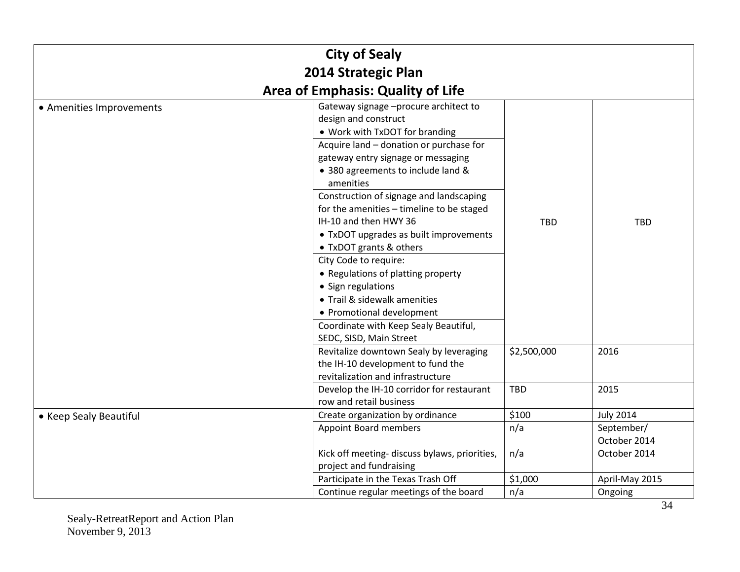| <b>City of Sealy</b><br>2014 Strategic Plan |                                                                                                                                                                                                                                                                                                                                                                                                                                                                                                                                                                                                                      |             |                            |
|---------------------------------------------|----------------------------------------------------------------------------------------------------------------------------------------------------------------------------------------------------------------------------------------------------------------------------------------------------------------------------------------------------------------------------------------------------------------------------------------------------------------------------------------------------------------------------------------------------------------------------------------------------------------------|-------------|----------------------------|
|                                             | <b>Area of Emphasis: Quality of Life</b>                                                                                                                                                                                                                                                                                                                                                                                                                                                                                                                                                                             |             |                            |
| • Amenities Improvements                    | Gateway signage -procure architect to<br>design and construct<br>• Work with TxDOT for branding<br>Acquire land - donation or purchase for<br>gateway entry signage or messaging<br>• 380 agreements to include land &<br>amenities<br>Construction of signage and landscaping<br>for the amenities - timeline to be staged<br>IH-10 and then HWY 36<br>• TxDOT upgrades as built improvements<br>• TxDOT grants & others<br>City Code to require:<br>• Regulations of platting property<br>• Sign regulations<br>• Trail & sidewalk amenities<br>• Promotional development<br>Coordinate with Keep Sealy Beautiful, | <b>TBD</b>  | <b>TBD</b>                 |
|                                             | SEDC, SISD, Main Street<br>Revitalize downtown Sealy by leveraging<br>the IH-10 development to fund the<br>revitalization and infrastructure                                                                                                                                                                                                                                                                                                                                                                                                                                                                         | \$2,500,000 | 2016                       |
|                                             | Develop the IH-10 corridor for restaurant<br>row and retail business                                                                                                                                                                                                                                                                                                                                                                                                                                                                                                                                                 | <b>TBD</b>  | 2015                       |
| • Keep Sealy Beautiful                      | Create organization by ordinance                                                                                                                                                                                                                                                                                                                                                                                                                                                                                                                                                                                     | \$100       | <b>July 2014</b>           |
|                                             | <b>Appoint Board members</b>                                                                                                                                                                                                                                                                                                                                                                                                                                                                                                                                                                                         | n/a         | September/<br>October 2014 |
|                                             | Kick off meeting- discuss bylaws, priorities,<br>project and fundraising                                                                                                                                                                                                                                                                                                                                                                                                                                                                                                                                             | n/a         | October 2014               |
|                                             | Participate in the Texas Trash Off                                                                                                                                                                                                                                                                                                                                                                                                                                                                                                                                                                                   | \$1,000     | April-May 2015             |
|                                             | Continue regular meetings of the board                                                                                                                                                                                                                                                                                                                                                                                                                                                                                                                                                                               | n/a         | Ongoing                    |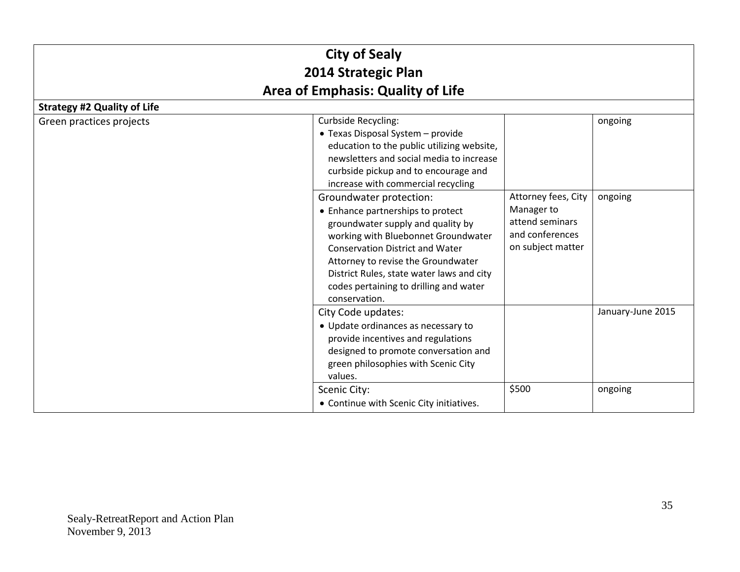| <b>City of Sealy</b><br>2014 Strategic Plan |                                                                                                                                                                                                                                                                                                                                  |                                                                                              |                                                                                |  |
|---------------------------------------------|----------------------------------------------------------------------------------------------------------------------------------------------------------------------------------------------------------------------------------------------------------------------------------------------------------------------------------|----------------------------------------------------------------------------------------------|--------------------------------------------------------------------------------|--|
|                                             |                                                                                                                                                                                                                                                                                                                                  |                                                                                              | <b>Area of Emphasis: Quality of Life</b><br><b>Strategy #2 Quality of Life</b> |  |
| Green practices projects                    | <b>Curbside Recycling:</b><br>• Texas Disposal System - provide<br>education to the public utilizing website,<br>newsletters and social media to increase<br>curbside pickup and to encourage and<br>increase with commercial recycling                                                                                          |                                                                                              | ongoing                                                                        |  |
|                                             | Groundwater protection:<br>• Enhance partnerships to protect<br>groundwater supply and quality by<br>working with Bluebonnet Groundwater<br><b>Conservation District and Water</b><br>Attorney to revise the Groundwater<br>District Rules, state water laws and city<br>codes pertaining to drilling and water<br>conservation. | Attorney fees, City<br>Manager to<br>attend seminars<br>and conferences<br>on subject matter | ongoing                                                                        |  |
|                                             | City Code updates:<br>• Update ordinances as necessary to<br>provide incentives and regulations<br>designed to promote conversation and<br>green philosophies with Scenic City<br>values.                                                                                                                                        |                                                                                              | January-June 2015                                                              |  |
|                                             | Scenic City:<br>• Continue with Scenic City initiatives.                                                                                                                                                                                                                                                                         | \$500                                                                                        | ongoing                                                                        |  |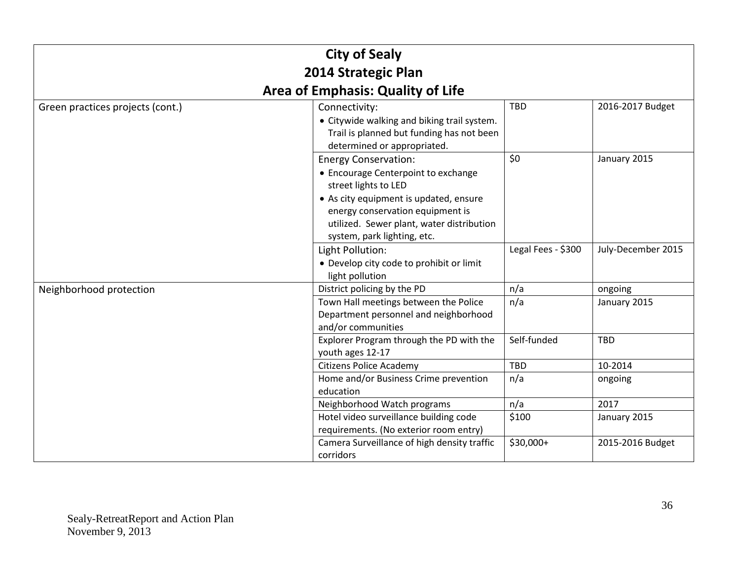| <b>City of Sealy</b>             |                                                                                                                                                                                                                                                      |                    |                         |
|----------------------------------|------------------------------------------------------------------------------------------------------------------------------------------------------------------------------------------------------------------------------------------------------|--------------------|-------------------------|
| 2014 Strategic Plan              |                                                                                                                                                                                                                                                      |                    |                         |
|                                  | <b>Area of Emphasis: Quality of Life</b>                                                                                                                                                                                                             |                    |                         |
| Green practices projects (cont.) | Connectivity:<br>• Citywide walking and biking trail system.<br>Trail is planned but funding has not been<br>determined or appropriated.                                                                                                             | <b>TBD</b>         | 2016-2017 Budget        |
|                                  | <b>Energy Conservation:</b><br>• Encourage Centerpoint to exchange<br>street lights to LED<br>• As city equipment is updated, ensure<br>energy conservation equipment is<br>utilized. Sewer plant, water distribution<br>system, park lighting, etc. | \$0                | January 2015            |
|                                  | Light Pollution:<br>• Develop city code to prohibit or limit<br>light pollution                                                                                                                                                                      | Legal Fees - \$300 | July-December 2015      |
| Neighborhood protection          | District policing by the PD<br>Town Hall meetings between the Police<br>Department personnel and neighborhood<br>and/or communities                                                                                                                  | n/a<br>n/a         | ongoing<br>January 2015 |
|                                  | Explorer Program through the PD with the<br>youth ages 12-17                                                                                                                                                                                         | Self-funded        | <b>TBD</b>              |
|                                  | <b>Citizens Police Academy</b>                                                                                                                                                                                                                       | TBD                | 10-2014                 |
|                                  | Home and/or Business Crime prevention<br>education                                                                                                                                                                                                   | n/a                | ongoing                 |
|                                  | Neighborhood Watch programs                                                                                                                                                                                                                          | n/a                | 2017                    |
|                                  | Hotel video surveillance building code<br>requirements. (No exterior room entry)                                                                                                                                                                     | \$100              | January 2015            |
|                                  | Camera Surveillance of high density traffic<br>corridors                                                                                                                                                                                             | \$30,000+          | 2015-2016 Budget        |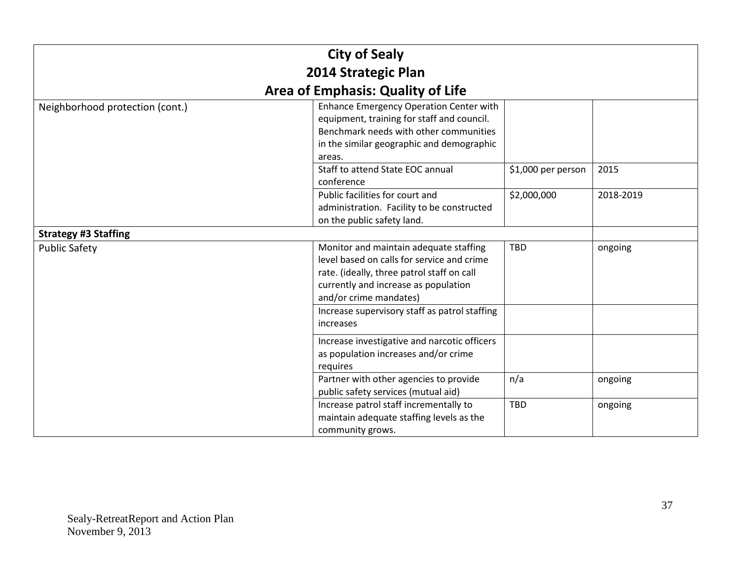| <b>City of Sealy</b>            |                                                                                                                                                                                                      |                    |           |  |
|---------------------------------|------------------------------------------------------------------------------------------------------------------------------------------------------------------------------------------------------|--------------------|-----------|--|
|                                 | 2014 Strategic Plan                                                                                                                                                                                  |                    |           |  |
|                                 | <b>Area of Emphasis: Quality of Life</b>                                                                                                                                                             |                    |           |  |
| Neighborhood protection (cont.) | <b>Enhance Emergency Operation Center with</b><br>equipment, training for staff and council.<br>Benchmark needs with other communities<br>in the similar geographic and demographic<br>areas.        |                    |           |  |
|                                 | Staff to attend State EOC annual<br>conference                                                                                                                                                       | \$1,000 per person | 2015      |  |
|                                 | Public facilities for court and<br>administration. Facility to be constructed<br>on the public safety land.                                                                                          | \$2,000,000        | 2018-2019 |  |
| <b>Strategy #3 Staffing</b>     |                                                                                                                                                                                                      |                    |           |  |
| <b>Public Safety</b>            | Monitor and maintain adequate staffing<br>level based on calls for service and crime<br>rate. (ideally, three patrol staff on call<br>currently and increase as population<br>and/or crime mandates) | <b>TBD</b>         | ongoing   |  |
|                                 | Increase supervisory staff as patrol staffing<br><i>increases</i>                                                                                                                                    |                    |           |  |
|                                 | Increase investigative and narcotic officers<br>as population increases and/or crime<br>requires                                                                                                     |                    |           |  |
|                                 | Partner with other agencies to provide<br>public safety services (mutual aid)                                                                                                                        | n/a                | ongoing   |  |
|                                 | Increase patrol staff incrementally to<br>maintain adequate staffing levels as the<br>community grows.                                                                                               | <b>TBD</b>         | ongoing   |  |